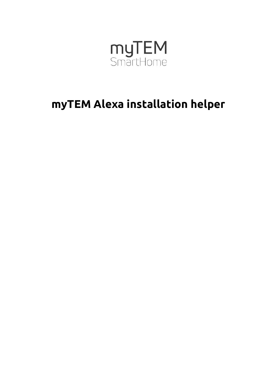

# **myTEM Alexa installation helper**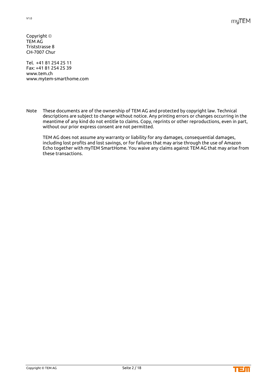Copyright TEM AG Triststrasse 8 CH-7007 Chur

Tel. +41 81 254 25 11 Fax: +41 81 254 25 39 www.tem.ch www.mytem-smarthome.com

Note These documents are of the ownership of TEM AG and protected by copyright law. Technical descriptions are subject to change without notice. Any printing errors or changes occurring in the meantime of any kind do not entitle to claims. Copy, reprints or other reproductions, even in part, without our prior express consent are not permitted.

TEM AG does not assume any warranty or liability for any damages, consequential damages, including lost profits and lost savings, or for failures that may arise through the use of Amazon Echo together with myTEM SmartHome. You waive any claims against TEM AG that may arise from these transactions.

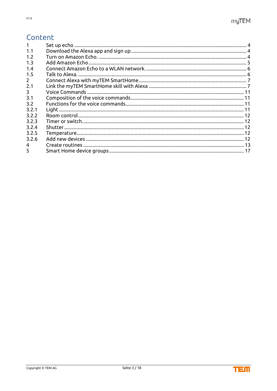## Content

| 1.1         |  |
|-------------|--|
| 1.2         |  |
| 1.3         |  |
| 1.4         |  |
| 1.5         |  |
| $2^{\circ}$ |  |
| 2.1         |  |
| 3           |  |
| 3.1         |  |
| 3.2         |  |
| 3.2.1       |  |
| 3.2.2       |  |
| 3.2.3       |  |
| 3.2.4       |  |
| 3.2.5       |  |
| 3.2.6       |  |
| 4           |  |
| 5           |  |

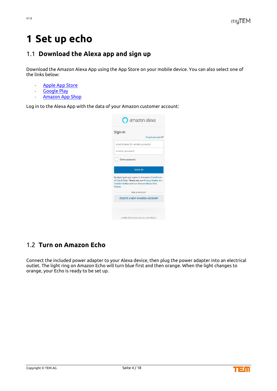## <span id="page-3-0"></span>**1 Set up echo**

## <span id="page-3-1"></span>1.1 **Download the Alexa app and sign up**

Download the Amazon Alexa App using the App Store on your mobile device. You can also select one of the links below:

- [Apple App Store](https://itunes.apple.com/de/app/amazon-echo/id944011620)
- [Google Play](https://play.google.com/store/apps/details?id=com.amazon.dee.app)
- [Amazon App Shop](https://www.amazon.de/dp/XXXXXXX)

Log in to the Alexa App with the data of your Amazon customer account:

| Sign-In         |                                                                                                |
|-----------------|------------------------------------------------------------------------------------------------|
|                 | Forgot password?                                                                               |
|                 | Email (phone for mobile accounts)                                                              |
| Amazon password |                                                                                                |
| Show password   |                                                                                                |
|                 | <b>SIGN-IN</b>                                                                                 |
|                 |                                                                                                |
|                 | By signing-in you agree to Amazon's Conditions                                                 |
|                 | of Use & Sale. Please see our Privacy Notice, our<br>Cookies Notice and our Interest-Based Ads |
|                 | New to Amazon?                                                                                 |
|                 |                                                                                                |
| Notice.         | <b>CREATE A NEW AMAZON ACCOUNT</b>                                                             |

### <span id="page-3-2"></span>1.2 **Turn on Amazon Echo**

Connect the included power adapter to your Alexa device, then plug the power adapter into an electrical outlet. The light ring on Amazon Echo will turn blue first and then orange. When the light changes to orange, your Echo is ready to be set up.

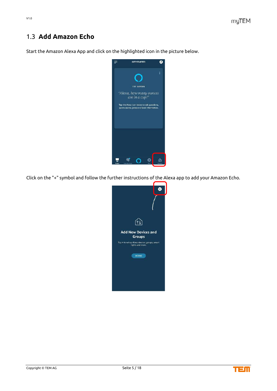## <span id="page-4-0"></span>1.3 **Add Amazon Echo**

Start the Amazon Alexa App and click on the highlighted icon in the picture below.



Click on the "+" symbol and follow the further instructions of the Alexa app to add your Amazon Echo.



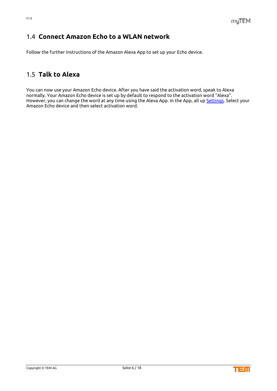## <span id="page-5-0"></span>1.4 **Connect Amazon Echo to a WLAN network**

Follow the further instructions of the Amazon Alexa App to set up your Echo device.

### <span id="page-5-1"></span>1.5 **Talk to Alexa**

You can now use your Amazon Echo device. After you have said the activation word, speak to Alexa normally. Your Amazon Echo device is set up by default to respond to the activation word "Alexa". However, you can change the word at any time using the Alexa App. In the App, all up [Settings.](https://alexa.amazon.com/spa/index.html#settings) Select your Amazon Echo device and then select activation word.

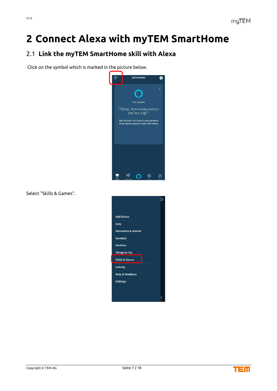## <span id="page-6-0"></span>**2 Connect Alexa with myTEM SmartHome**

## <span id="page-6-1"></span>2.1 **Link the myTEM SmartHome skill with Alexa**

Click on the symbol which is marked in the picture below.



Select "Skills & Games".



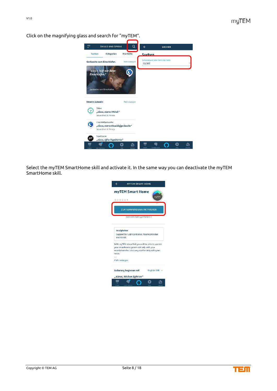

Click on the magnifying glass and search for "myTEM".

Select the myTEM SmartHome skill and activate it. In the same way you can deactivate the myTEM SmartHome skill.



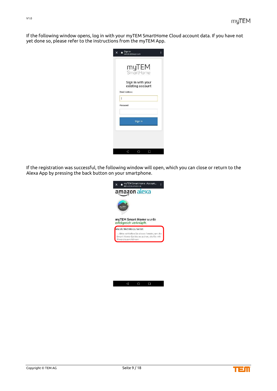If the following window opens, log in with your myTEM SmartHome Cloud account data. If you have not yet done so, please refer to the instructions from the myTEM App.



If the registration was successful, the following window will open, which you can close or return to the Alexa App by pressing the back button on your smartphone.



 $\Box$ 

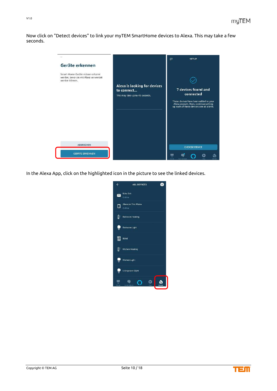Now click on "Detect devices" to link your myTEM SmartHome devices to Alexa. This may take a few seconds.



In the Alexa App, click on the highlighted icon in the picture to see the linked devices.



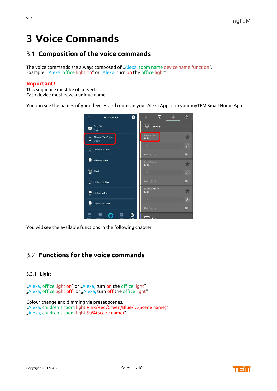## <span id="page-10-0"></span>**3 Voice Commands**

## <span id="page-10-1"></span>3.1 **Composition of the voice commands**

The voice commands are always composed of "Alexa, room name device name function". Example: "Alexa, office light on" or "Alexa, turn on the office light"

#### **Important!**

This sequence must be observed. Each device must have a unique name.

You can see the names of your devices and rooms in your Alexa App or in your myTEM SmartHome App.



You will see the available functions in the following chapter.

### <span id="page-10-2"></span>3.2 **Functions for the voice commands**

#### <span id="page-10-3"></span>3.2.1 **Light**

"Alexa, office light on" or "Alexa, turn on the office light" "Alexa, office light off" or "Alexa, turn off the office light"

Colour change and dimming via preset scenes. "Alexa, children's room light Pink/Red/Green/Blue/…(Scene name)" "Alexa, children's room light 50%(Scene name)"

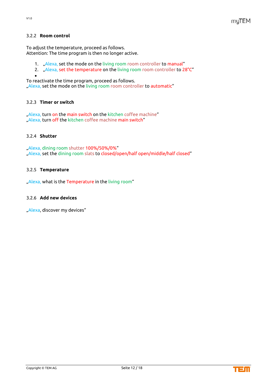#### <span id="page-11-0"></span>3.2.2 **Room control**

To adjust the temperature, proceed as follows. Attention: The time program is then no longer active.

- 1. "Alexa, set the mode on the living room room controller to manual"
- 2. Alexa, set the temperature on the living room room controller to 28°C"
- •

To reactivate the time program, proceed as follows.

"Alexa, set the mode on the living room room controller to automatic"

#### <span id="page-11-1"></span>3.2.3 **Timer or switch**

"Alexa, turn on the main switch on the kitchen coffee machine" "Alexa, turn off the kitchen coffee machine main switch"

#### <span id="page-11-2"></span>3.2.4 **Shutter**

"Alexa, dining room shutter 100%/50%/0%" "Alexa, set the dining room slats to closed/open/half open/middle/half closed"

#### <span id="page-11-3"></span>3.2.5 **Temperature**

"Alexa, what is the Temperature in the living room"

#### <span id="page-11-4"></span>3.2.6 **Add new devices**

"Alexa, discover my devices"

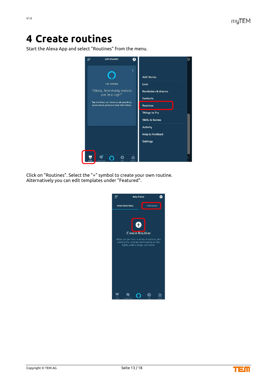## <span id="page-12-0"></span>**4 Create routines**

Start the Alexa App and select "Routines" from the menu.



Click on "Routines". Select the "+" symbol to create your own routine. Alternatively you can edit templates under "Featured".



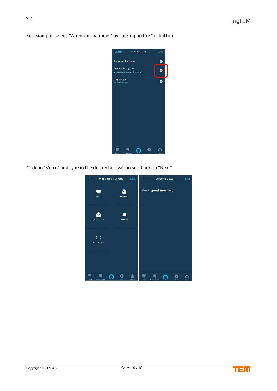| Enter routine name<br>o<br>When this happens<br>o<br>ex. you say "Alexa, good morning"<br>Add action<br>o<br>ex. Flay weather |
|-------------------------------------------------------------------------------------------------------------------------------|
|                                                                                                                               |
|                                                                                                                               |
|                                                                                                                               |
|                                                                                                                               |

For example, select "When this happens" by clicking on the "+" button.

Click on "Voice" and type in the desired activation set. Click on "Next".



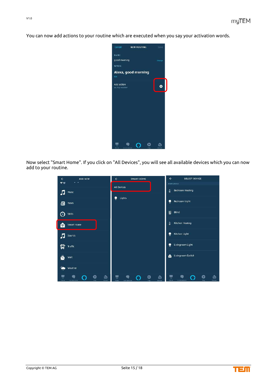You can now add actions to your routine which are executed when you say your activation words.



Now select "Smart Home". If you click on "All Devices", you will see all available devices which you can now add to your routine.



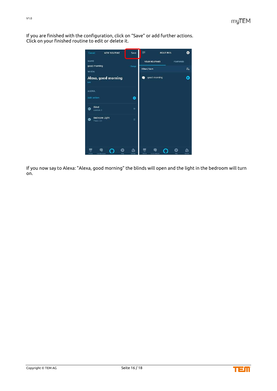If you are finished with the configuration, click on "Save" or add further actions. Click on your finished routine to edit or delete it.



If you now say to Alexa: "Alexa, good morning" the blinds will open and the light in the bedroom will turn on.

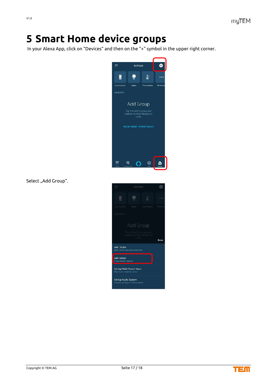## <span id="page-16-0"></span>**5 Smart Home device groups**

In your Alexa App, click on "Devices" and then on the "+" symbol in the upper right corner.



Select "Add Group".